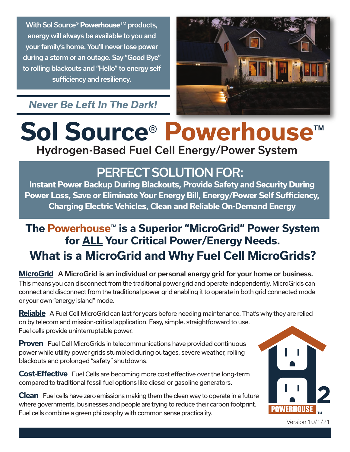With Sol Source<sup>®</sup> Powerhouse<sup>™</sup> products, energy will always be available to you and your family's home. You'll never lose power during a storm or an outage. Say "Good Bye" to rolling blackouts and "Hello" to energy self sufficiency and resiliency.

#### *Never Be Left In The Dark!*



# **Sol Source**® **Powerhouse**™ Hydrogen-Based Fuel Cell Energy/Power System

## PERFECT SOLUTION FOR:

**Instant Power Backup During Blackouts, Provide Safety and Security During Power Loss, Save or Eliminate Your Energy Bill, Energy/Power Self Sufficiency, Charging Electric Vehicles, Clean and Reliable On-Demand Energy**

### **The Powerhouse**™ **is a Superior "MicroGrid" Power System for ALL Your Critical Power/Energy Needs. What is a MicroGrid and Why Fuel Cell MicroGrids?**

**MicroGrid** A MicroGrid is an individual or personal energy grid for your home or business. This means you can disconnect from the traditional power grid and operate independently. MicroGrids can connect and disconnect from the traditional power grid enabling it to operate in both grid connected mode or your own "energy island" mode.

**Reliable** A Fuel Cell MicroGrid can last for years before needing maintenance. That's why they are relied on by telecom and mission-critical application. Easy, simple, straightforward to use. Fuel cells provide uninterruptable power.

**Proven** Fuel Cell MicroGrids in telecommunications have provided continuous power while utility power grids stumbled during outages, severe weather, rolling blackouts and prolonged "safety" shutdowns.

**Cost-Effective** Fuel Cells are becoming more cost effective over the long-term compared to traditional fossil fuel options like diesel or gasoline generators.

**Clean** Fuel cells have zero emissions making them the clean way to operate in a future where governments, businesses and people are trying to reduce their carbon footprint. Fuel cells combine a green philosophy with common sense practicality.



Version 10/1/21